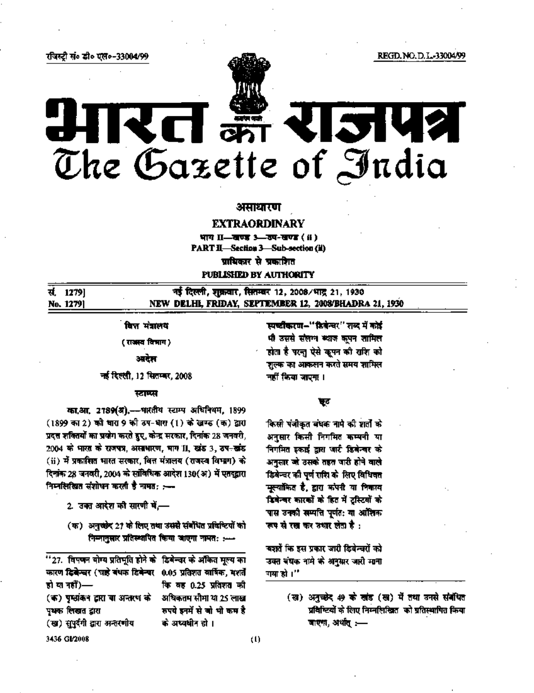REGD, NO. D. L.-33004/99

#### रविस्टी सं॰ डी॰ ऍल॰-33004/99

# **TISTUAL** The Gazette of India

# असाधारण

# **EXTRAORDINARY**

भाग II-खण्ड 3-खण-खण्ड (ii) **PART II-Section 3-Sub-section (ii)** प्राधिकार से प्रकाशित PUBLISHED BY AUTHORITY

नई दिल्ली, शुक्रवार, सितम्बर 12, 2008/भाद्र 21, 1930 सं. 12791 NEW DELHI, FRIDAY, SEPTEMBER 12, 2008/BHADRA 21, 1930 No. 1279)

# वित्त मंत्रालय

(राजस्व विभाग)

# अर्बेझ

नई दिल्ली. 12 सितम्बर, 2008

### स्टाम्प्स

का.आ. 2789(अ).--भारतीय स्टाम्प अधिनियम, 1899 (1899 का 2) को धारा 9 की उप-धारा (1) के खण्ड (क) द्वारा प्रदत्त शक्तियों का प्रयोग करते हुए, केन्द्र सरकार, दिनांक 28 जनवरी, 2004 को भारत को राजपत्र, असाधारण, भाग II, खांड 3, ठप-खांड (ii) में प्रकारित भारत सरकार, वित्त मंत्रालय (राजस्व विभाग) के दिशके 28 जनवरी, 2004 को सांविधिक आदेश 130(अ) में एतदद्वारा निम्नलिखित संशोधन करती है नामत: :---

- 2. उक्त आरेश की सारणी में —
- (क) अनुस्केर 21 के लिए तथा उससे संबंधित प्रविष्टियों को निम्नानुसार प्रतिस्थापित किया आएगा नामत: :---

| ''27. विपणन योग्य प्रतिमूति होने के डिमेन्चर के ऑकित मूल्य का |                            |
|---------------------------------------------------------------|----------------------------|
| कारण दिवेन्चर (चहे बंधक डिवेन्चर 0.05 प्रतिशत वार्षिक, मशर्ते |                            |
| हो या नहीं)—                                                  | कि वह 0.25 प्रतिशत की      |
| (क) पृष्ठांकन द्वारा या अन्तरण को                             | अधिकतम सीमा या 25 लाख      |
| पृथक लिखत द्वारा                                              | रुपये इनमें से जो भी कम है |
| (ख) सुपुर्दगी द्वारा अन्तरणीय                                 | कं अध्यधीन हो ।            |
| 3436 GI/2008                                                  |                            |

स्पच्टीकरण-"डिवेन्वर" शब्द में कोई भी उससे संलग्न क्याज कृपन शामिल होता है परन्तु ऐसे कूपन की राशि को शुल्क का आकलन करते समय शामिल नहीं किया जाएगा ।

#### फर

किसी पंजीकृत बंधक नामे की शर्तों के अनुसार किसी निगमित कम्पनी या निगमित इकाई द्वारा जारी डिबेन्चर को अनुसार जो उसके तहत जारी होने वाले डिबेन्चर की पूर्ण गरिर के लिए विधिवत मुल्यांकित है, द्वारा कंपनी या निकाय डिवेन्वर कारकों के हित में टूस्टियों को पास उनको सम्पति पूर्णत: या आंशिक रूप से रख कर उधार लेता है :

बशरों कि इस प्रकार जारी डिबेन्चरों को उक्त बंघक नामे के अनुसार जारी माना गया हो ।''

> (ख) अनुच्छेद 49 के खंड (ख) में तथा उनसे संबंधित प्रविष्टियों के लिए निम्नलिखित को प्रतिस्थापित किया जाएगा, अर्थात् :--